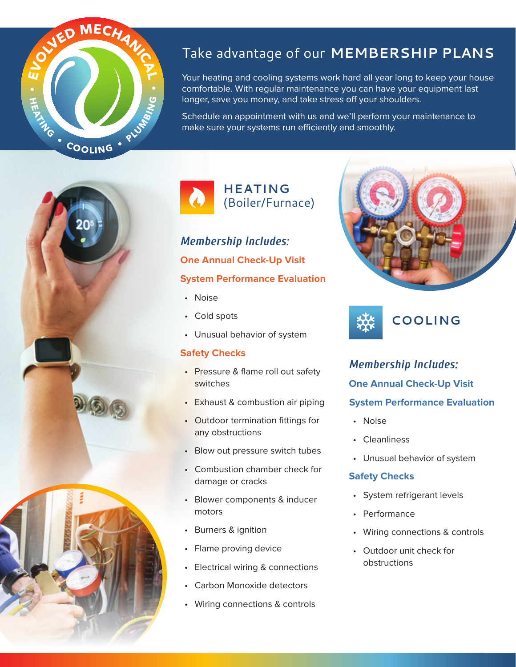

### Take advantage of our **MEMBERSHIP PLANS**

Your heating and cooling systems work hard all year long to keep your house comfortable. With regular maintenance you can have your equipment last longer, save you money, and take stress off your shoulders.

Schedule an appointment with us and we'll perform your maintenance to make sure your systems run efficiently and smoothly.



*Membership Includes:* **One Annual Check-Up Visit System Performance Evaluation**

- Noise
- Cold spots
- Unusual behavior of system

#### **Safety Checks**

- Pressure & flame roll out safety switches
- Exhaust & combustion air piping
- Outdoor termination fittings for any obstructions
- Blow out pressure switch tubes
- Combustion chamber check for damage or cracks
- Blower components & inducer motors
- Burners & ignition
- Flame proving device
- Electrical wiring & connections
- Carbon Monoxide detectors
- Wiring connections & controls





*Membership Includes:* **One Annual Check-Up Visit System Performance Evaluation**

- Noise
- **Cleanliness**
- Unusual behavior of system

#### **Safety Checks**

- System refrigerant levels
- Performance
- Wiring connections & controls
- Outdoor unit check for obstructions